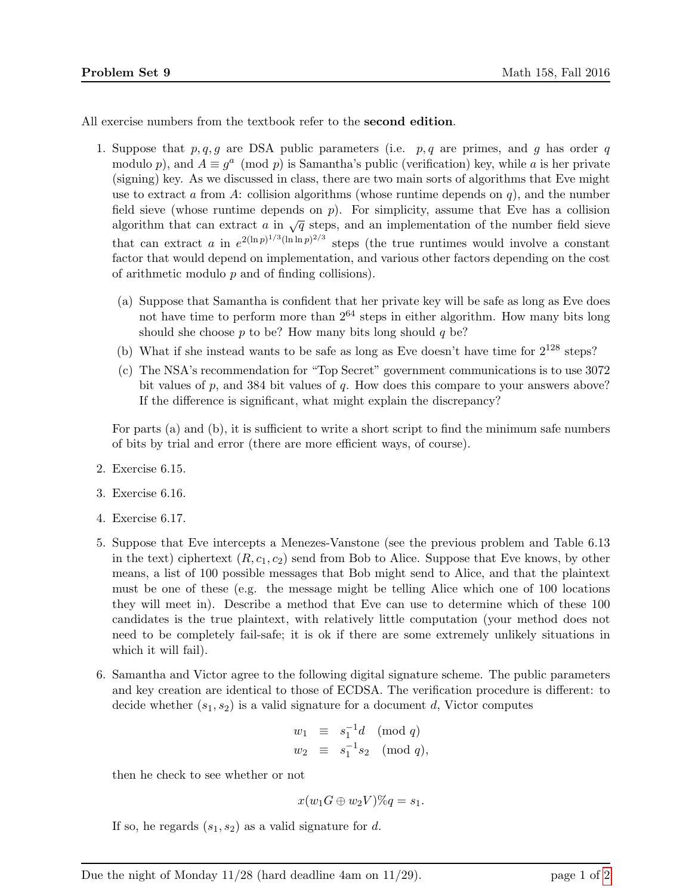All exercise numbers from the textbook refer to the second edition.

- 1. Suppose that  $p, q, g$  are DSA public parameters (i.e.  $p, q$  are primes, and g has order q modulo p), and  $A \equiv g^a \pmod{p}$  is Samantha's public (verification) key, while a is her private (signing) key. As we discussed in class, there are two main sorts of algorithms that Eve might use to extract a from A: collision algorithms (whose runtime depends on  $q$ ), and the number field sieve (whose runtime depends on  $p$ ). For simplicity, assume that Eve has a collision algorithm that can extract a in  $\sqrt{q}$  steps, and an implementation of the number field sieve that can extract a in  $e^{2(\ln p)^{1/3}(\ln \ln p)^{2/3}}$  steps (the true runtimes would involve a constant factor that would depend on implementation, and various other factors depending on the cost of arithmetic modulo  $p$  and of finding collisions).
	- (a) Suppose that Samantha is confident that her private key will be safe as long as Eve does not have time to perform more than  $2^{64}$  steps in either algorithm. How many bits long should she choose  $p$  to be? How many bits long should  $q$  be?
	- (b) What if she instead wants to be safe as long as Eve doesn't have time for  $2^{128}$  steps?
	- (c) The NSA's recommendation for "Top Secret" government communications is to use 3072 bit values of  $p$ , and 384 bit values of  $q$ . How does this compare to your answers above? If the difference is significant, what might explain the discrepancy?

For parts (a) and (b), it is sufficient to write a short script to find the minimum safe numbers of bits by trial and error (there are more efficient ways, of course).

- 2. Exercise 6.15.
- 3. Exercise 6.16.
- 4. Exercise 6.17.
- 5. Suppose that Eve intercepts a Menezes-Vanstone (see the previous problem and Table 6.13 in the text) ciphertext  $(R, c_1, c_2)$  send from Bob to Alice. Suppose that Eve knows, by other means, a list of 100 possible messages that Bob might send to Alice, and that the plaintext must be one of these (e.g. the message might be telling Alice which one of 100 locations they will meet in). Describe a method that Eve can use to determine which of these 100 candidates is the true plaintext, with relatively little computation (your method does not need to be completely fail-safe; it is ok if there are some extremely unlikely situations in which it will fail).
- 6. Samantha and Victor agree to the following digital signature scheme. The public parameters and key creation are identical to those of ECDSA. The verification procedure is different: to decide whether  $(s_1, s_2)$  is a valid signature for a document d, Victor computes

$$
w_1 \equiv s_1^{-1}d \pmod{q}
$$
  
\n $w_2 \equiv s_1^{-1}s_2 \pmod{q}$ ,

then he check to see whether or not

$$
x(w_1G \oplus w_2V)\%q = s_1.
$$

If so, he regards  $(s_1, s_2)$  as a valid signature for d.